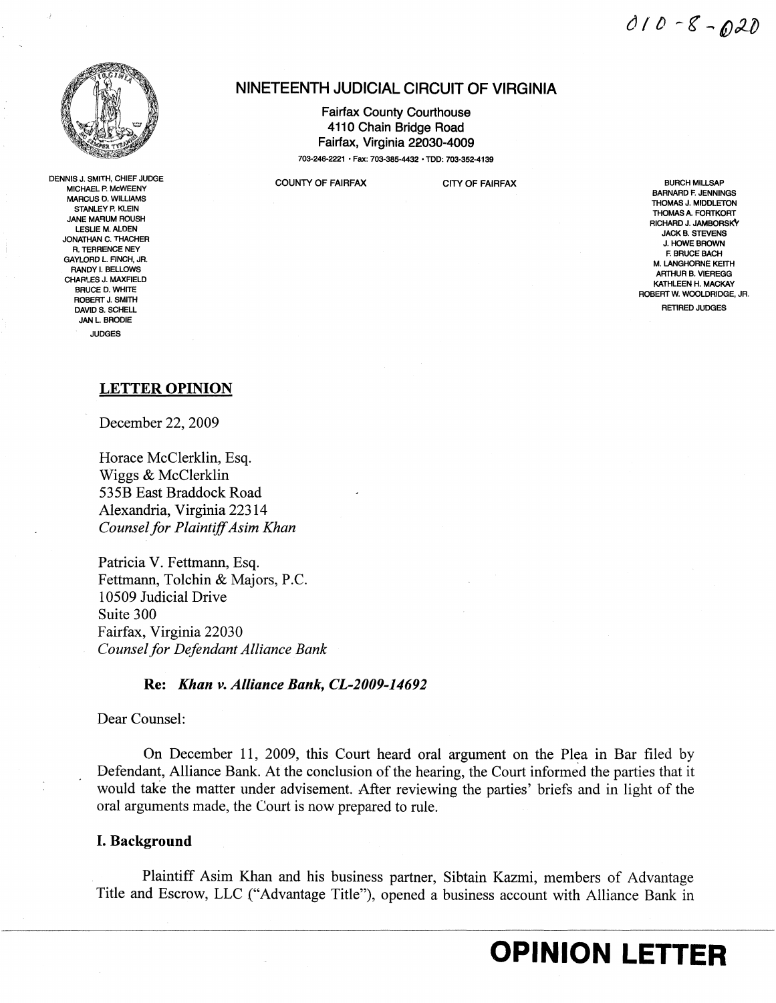

DENNISJ. SMITH, CHIEF JUDGE MICHAEL P. McWEENY MARCUS O. WILLIAMS STANLEY P. KLEIN **JANE MARUM ROUSH** LESLIE M. ALDEN JONATHAN C. THACHER R. TERRENCE NEY GAYLORD L. FINCH, JR. RANDY I. BELLOWS CHARLES J. MAXFIELD BRUCE D. WHITE ROBERT J. SMITH<br>DAVID S. SCHELL DAVID S. SCHELL RETIRED JUDGES JAN L. BRODIE JUDGES

## NINETEENTH JUDICIAL CIRCUIT OF VIRGINIA

Fairfax County Courthouse 4110 Chain Bridge Road Fairfax, Virginia 22030-4009 703-246-2221 • Fax: 703-385-4432 • TOO: 703-352-4139

COUNTY OF FAIRFAX CITY OF FAIRFAX **CITY OF FAIRFAX** BURCH MILLSAP

BARNARD F. JENNINGS THOMAS J. MIDDLETON THOMAS A. FORTKORT RICHARD J. JAMBORSKY JACK B. STEVENS J. HOWE BROWN F. BRUCE BACH M. LANGHORNE KEITH ARTHUR B. VIEREGG KATHLEEN H. MACKAY ROBERT W. WOOLDRIDGE, JR.

## LETTER OPINION

December 22, 2009

Horace McClerklin, Esq. Wiggs & McClerklin 535B East Braddock Road Alexandria, Virginia 22314 *Counsel for PlaintiffAsim Khan* 

Patricia V. Fettmann, Esq. Fettmann, Tolchin & Majors, P.C. 10509 Judicial Drive Suite 300 Fairfax, Virginia 22030 *Counsel for Defendant Alliance Bank* 

## Re: *Khan v. Alliance Bank, CL-2009-14692*

Dear Counsel:

On December 11, 2009, this Court heard oral argument on the Plea in Bar filed by Defendant, Alliance Bank. At the conclusion of the hearing, the Court informed the parties that it would take the matter under advisement. After reviewing the parties' briefs and in light of the oral arguments made, the Court is now prepared to rule.

## I. Background

Plaintiff Asim Khan and his business partner, Sibtain Kazmi, members of Advantage Title and Escrow, LLC ("Advantage Title"), opened a business account with Alliance Bank in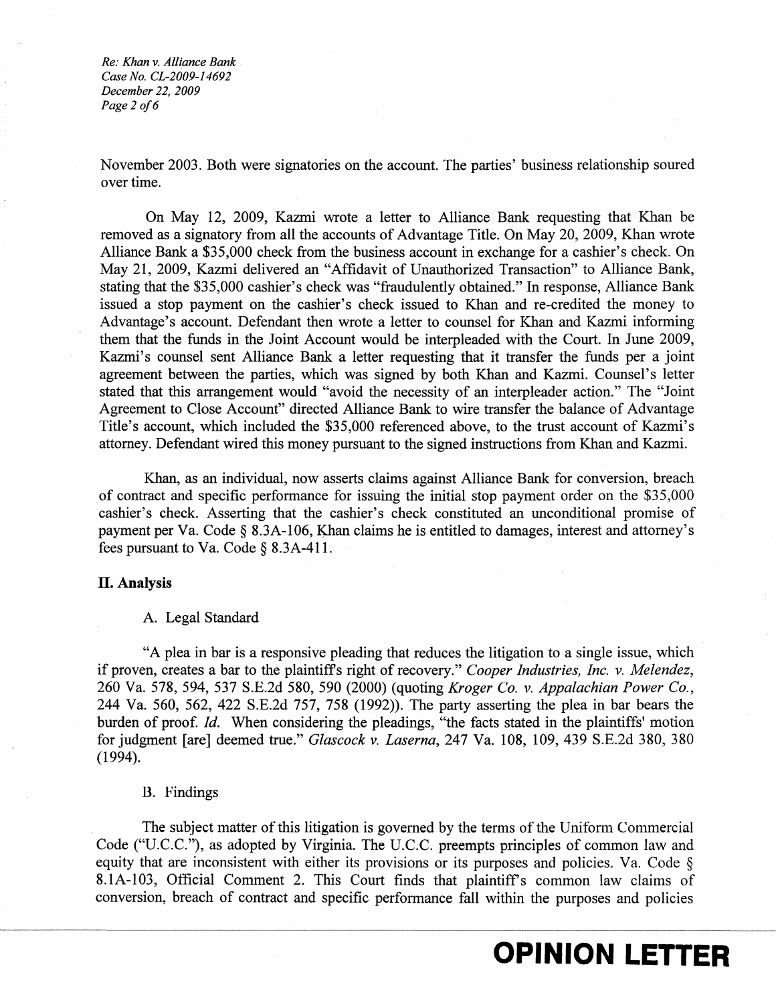*Re: Khan* v. *Alliance Bank Case No. CL-2009-14692 December* 22, *2009 Page* 2 *0/6* 

November 2003. Both were signatories on the account. The parties' business relationship soured over time.

On May 12, 2009, Kazmi wrote a letter to Alliance Bank requesting that Khan be removed as a signatory from all the accounts of Advantage Title. On May 20, 2009, Khan wrote Alliance Bank a \$35,000 check from the business account in exchange for a cashier's check. On May 21, 2009, Kazmi delivered an "Affidavit of Unauthorized Transaction" to Alliance Bank, stating that the \$35,000 cashier's check was "fraudulently obtained." In response, Alliance Bank issued a stop payment on the cashier's check issued to Khan and re-credited the money to Advantage's account. Defendant then wrote a letter to counsel for Khan and Kazmi informing them that the funds in the Joint Account would be interpleaded with the Court. In June 2009, Kazmi's counsel sent Alliance Bank a letter requesting that it transfer the funds per a joint agreement between the parties, which was signed by both Khan and Kazmi. Counsel's letter stated that this arrangement would "avoid the necessity of an interpleader action." The "Joint Agreement to Close Account" directed Alliance Bank to wire transfer the balance of Advantage Title's account, which included the \$35,000 referenced above, to the trust account of Kazmi's attorney. Defendant wired this money pursuant to the signed instructions from Khan and Kazmi.

Khan, as an individual, now asserts claims against Alliance Bank for conversion, breach of contract and specific performance for issuing the initial stop payment order on the \$35,000 cashier's check. Asserting that the cashier's check constituted an unconditional promise of payment per Va. Code  $\S$  8.3A-106, Khan claims he is entitled to damages, interest and attorney's fees pursuant to Va. Code § 8.3A-411.

#### **II. Analysis**

#### A. Legal Standard

"A plea in bar is a responsive pleading that reduces the litigation to a single issue, whicll if proven, creates a bar to the plaintiffs right of recovery." *Cooper Industries, Inc.* v. *Melendez,*  260 Va. 578, 594, 537 S.E.2d 580, 590 (2000) (quoting *Kroger ('0.* v. *Appalachian Power Co.,*  244 Va. 560, 562, 422 S.E.2d 757, 758 (1992)). The party asserting the plea in bar bears the burden of proof. *Id.* When considering the pleadings, "the facts stated in the plaintiffs' motion for judgment [are] deemed true." *Glascock v.Laserna,* 247 Va. 108, 109, 439 S.E.2d 380, 380 (1994).

#### B. Findings

The subject matter of this litigation is governed by the terms of the Uniform Commercial Code ("U.C.C."), as adopted by Virginia. The U.C.C. preempts principles of common law and equity that are inconsistent with either its provisions or its purposes and policies. Va. Code § 8.1A-103, Official Comment 2. This Court finds that plaintiff's common law claims of conversion, breach of contract and specific performance fall within the purposes and policies

## **OPINION LETTER**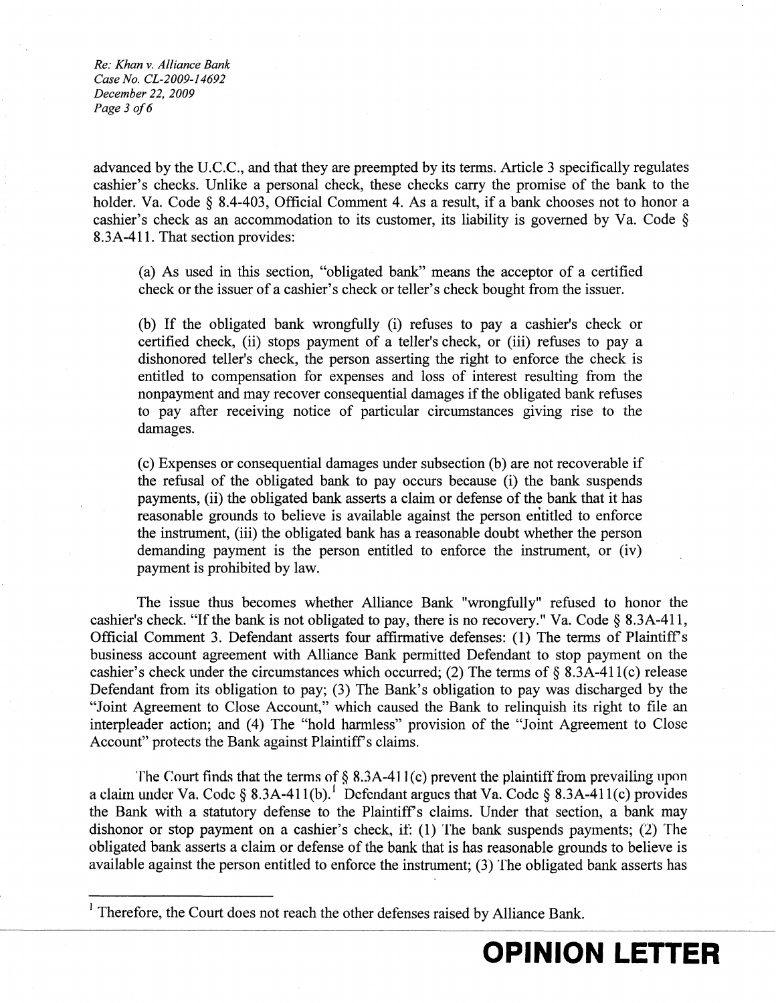*Re: Khan* v. *Alliance Bank Case No. CL-2009-14692 December 22,2009* Page 3 of 6

advanced by the U.C.C., and that they are preempted by its terms. Article 3 specifically regulates cashier's checks. Unlike a personal check, these checks carry the promise of the bank to the holder. Va. Code § 8.4-403, Official Comment 4. As a result, if a bank chooses not to honor a cashier's check as an accommodation to its customer, its liability is governed by Va. Code § 8.3A-411. That section provides:

(a) As used in this section, "obligated bank" means the acceptor of a certified check or the issuer of a cashier's check or teller's check bought from the issuer.

(b) If the obligated bank wrongfully (i) refuses to pay a cashier's check or certified check, (ii) stops payment of a teller's check, or (iii) refuses to pay a dishonored teller's check, the person asserting the right to enforce the check is entitled to compensation for expenses and loss of interest resulting from the nonpayment and may recover consequential damages if the obligated bank refuses to pay after receiving notice of particular circumstances giving rise to the damages.

(c) Expenses or consequential damages under subsection (b) are not recoverable if the refusal of the obligated bank to pay occurs because (i) the bank suspends payments, (ii) the obligated bank asserts a claim or defense of the bank that it has reasonable grounds to believe is available against the person entitled to enforce the instrument, (iii) the obligated bank has a reasonable doubt whether the person demanding payment is the person entitled to enforce the instrument, or (iv) payment is prohibited by law.

The issue thus becomes whether Alliance Bank "wrongfully" refused to honor the cashier's check. "If the bank is not obligated to pay, there is no recovery." Va. Code § 8.3A-411, Official Comment 3. Defendant asserts four affirmative defenses: (1) The terms of Plaintiff's business account agreement with Alliance Bank permitted Defendant to stop payment on the cashier's check under the circumstances which occurred; (2) The terms of  $\S$  8.3A-411(c) release Defendant from its obligation to pay; (3) The Bank's obligation to pay was discharged by the "Joint Agreement to Close Account," which caused the Bank to relinquish its right to file an interpleader action; and (4) The "hold harmless" provision of the "Joint Agreement to Close Account" protects the Bank against Plaintiff's claims.

The Court finds that the terms of § 8.3A-411(c) prevent the plaintiff from prevailing upon a claim under Va. Code § 8.3A-411(b).<sup>1</sup> Defendant argues that Va. Code § 8.3A-411(c) provides the Bank with a statutory defense to the Plaintiff's claims. Under that section, a bank may dishonor or stop payment on a cashier's check, if: (1) The bank suspends payments; (2) The obligated bank asserts a claim or defense of the bank that is has reasonable grounds to believe is available against the person entitled to enforce the instrument; (3) The obligated bank asserts has

<sup>&</sup>lt;sup>1</sup> Therefore, the Court does not reach the other defenses raised by Alliance Bank.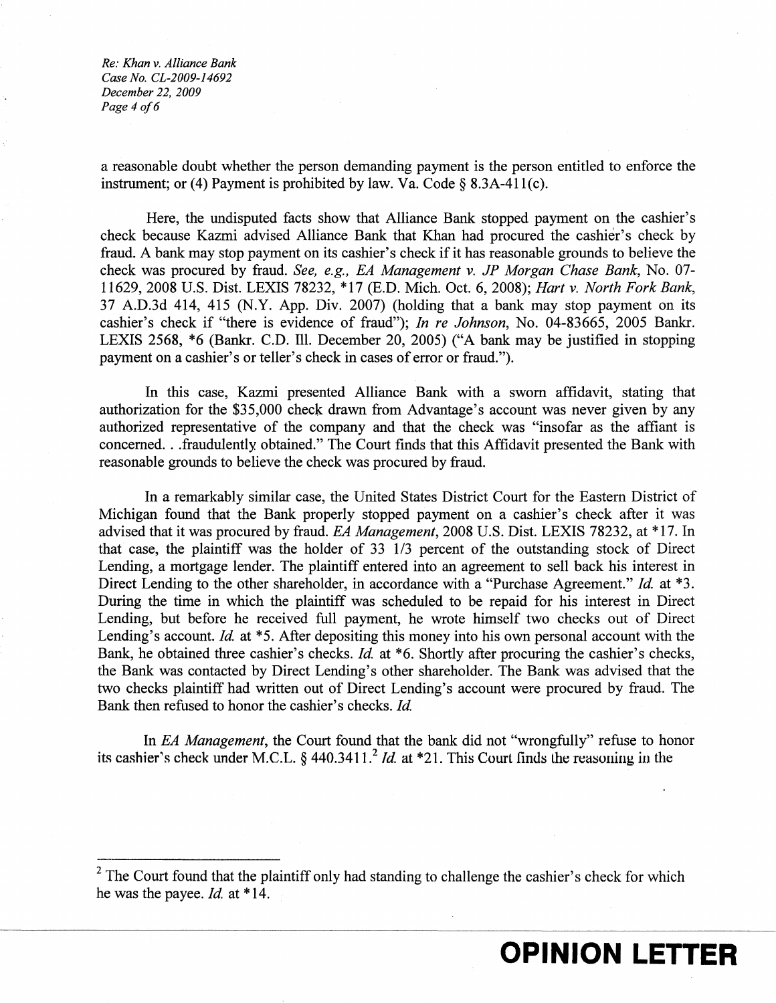*Re: Khan* v. *Alliance Bank Case No. CL-2009-14692 December* 22, *2009 Page* 4 *0/6* 

a reasonable doubt whether the person demanding payment is the person entitled to enforce the instrument; or (4) Payment is prohibited by law. Va. Code  $\S$  8.3A-411(c).

Here, the undisputed facts show that Alliance Bank stopped payment on the cashier's check because Kazmi advised Alliance Bank that Khan had procured the cashier's check by fraud. A bank may stop payment on its cashier's check if it has reasonable grounds to believe the check was procured by fraud. *See, e.g., EA Management* v. *JP Morgan Chase Bank,* No. 07 11629,2008 U.S. Dist. LEXIS 78232, \*17 (E.D. Mich. Oct. 6, 2008); *Hart* v. *North Fork Bank,*  37 A.D.3d 414,415 (N.Y. App. Div. 2007) (holding that a bank may stop payment on its cashier's check if "there is evidence of fraud"); *In re Johnson,* No. 04-83665, 2005 Bankr. LEXIS 2568, \*6 (Bankr. C.D. Ill. December 20, 2005) ("A bank may be justified in stopping payment on a cashier's or teller's check in cases of error or fraud.").

In this case, Kazmi presented Alliance Bank with a sworn affidavit, stating that authorization for the \$35,000 check drawn from Advantage's account was never given by any authorized representative of the company and that the check was "insofar as the affiant is concerned...fraudulently obtained." The Court finds that this Affidavit presented the Bank with reasonable grounds to believe the check was procured by fraud.

In a remarkably similar case, the United States District Court for the Eastern District of Michigan found that the Bank properly stopped payment on a cashier's check after it was advised that it was procured by fraud. *EA Management,* 2008 U.S. Dist. LEXIS 78232, at \*17. In that case, the plaintiff was the holder of  $33 \frac{1}{3}$  percent of the outstanding stock of Direct Lending, a mortgage lender. The plaintiff entered into an agreement to sell back his interest in Direct Lending to the other shareholder, in accordance with a "Purchase Agreement." *Id.* at \*3. During the time in which the plaintiff was scheduled to be repaid for his interest in Direct Lending, but before he received full payment, he wrote himself two checks out of Direct Lending's account. *Id.* at \*5. After depositing this money into his own personal account with the Bank, he obtained three cashier's checks. *Id.* at \*6. Shortly after procuring the cashier's checks, the Bank was contacted by Direct Lending's other shareholder. The Bank was advised that the two checks plaintiff had written out of Direct Lending's account were procured by fraud. The Bank then refused to honor the cashier's checks. *Id.* 

In *EA Management,* the Court found that the bank did not "wrongfully" refuse to honor its cashier's check under M.C.L. § 440.3411.<sup>2</sup> *ld.* at \*21. This Court finds the reasoning in the

 $2$  The Court found that the plaintiff only had standing to challenge the cashier's check for which he was the payee. *Id.* at \*14.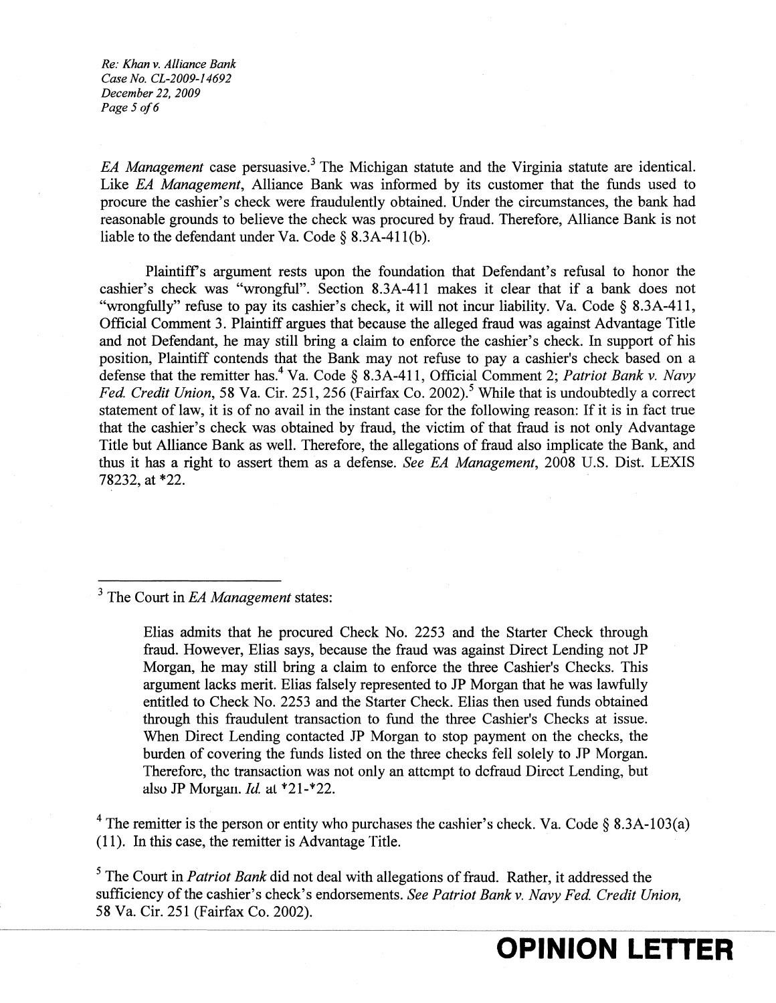*Re: Khan v. Alliance Bank Case No. CL-2009-14692 December* 22, *2009 Page* 5 *0/6* 

*EA Management* case persuasive.<sup>3</sup> The Michigan statute and the Virginia statute are identical. Like *EA Management,* Alliance Bank was informed by its customer that the funds used to procure the cashier's check were fraudulently obtained. Under the circumstances, the bank had reasonable grounds to believe the check was procured by fraud. Therefore, Alliance Bank is not liable to the defendant under Va. Code  $\S$  8.3A-411(b).

Plaintiffs argument rests upon the foundation that Defendant's refusal to honor the cashier's check was "wrongful". Section 8.3A-411 makes it clear that if a bank does not "wrongfully" refuse to pay its cashier's check, it will not incur liability. Va. Code § 8.3A-411, Official Comment 3. Plaintiff argues that because the alleged fraud was against Advantage Title and not Defendant, he may still bring a claim to enforce the cashier's check. In support of his position, Plaintiff contends that the Bank may not refuse to pay a cashier's check based on a defense that the remitter has.<sup>4</sup> Va. Code § 8.3A-411, Official Comment 2; *Patriot Bank v. Navy Fed. Credit Union,* 58 Va. Cir. 251, 256 (Fairfax Co. 2002).<sup>5</sup> While that is undoubtedly a correct statement of law, it is of no avail in the instant case for the following reason: If it is in fact true that the cashier's check was obtained by fraud, the victim of that fraud is not only Advantage Title but Alliance Bank as well. Therefore, the allegations of fraud also implicate the Bank, and thus it has a right to assert them as a defense. *See EA Management,* 2008 U.S. Dist. LEXIS 78232, at \*22.

3 The Court in *EA Management* states:

Elias admits that he procured Check No. 2253 and the Starter Check through fraud. However, Elias says, because the fraud was against Direct Lending not JP Morgan, he may still bring a claim to enforce the three Cashier's Checks. This argument lacks merit. Elias falsely represented to JP Morgan that he was lawfully entitled to Check No. 2253 and the Starter Check. Elias then used funds obtained through this fraudulent transaction to fund the three Cashier's Checks at issue. When Direct Lending contacted JP Morgan to stop payment on the checks, the burden of covering the funds listed on the three checks fell solely to JP Morgan. Therefore, the transaction was not only an attempt to defraud Direct Lending, but also JP Morgan. *Id.* at \*21-\*22.

<sup>4</sup> The remitter is the person or entity who purchases the cashier's check. Va. Code § 8.3A-103(a)  $(11)$ . In this case, the remitter is Advantage Title.

5 The Court in *Patriot Bank* did not deal with allegations of fraud. Rather, it addressed the sufficiency of the cashier's check's endorsements. *See Patriot Bank* v. *Navy Fed Credit Union,*  58 Va. Cir. 251 (Fairfax Co. 2002).